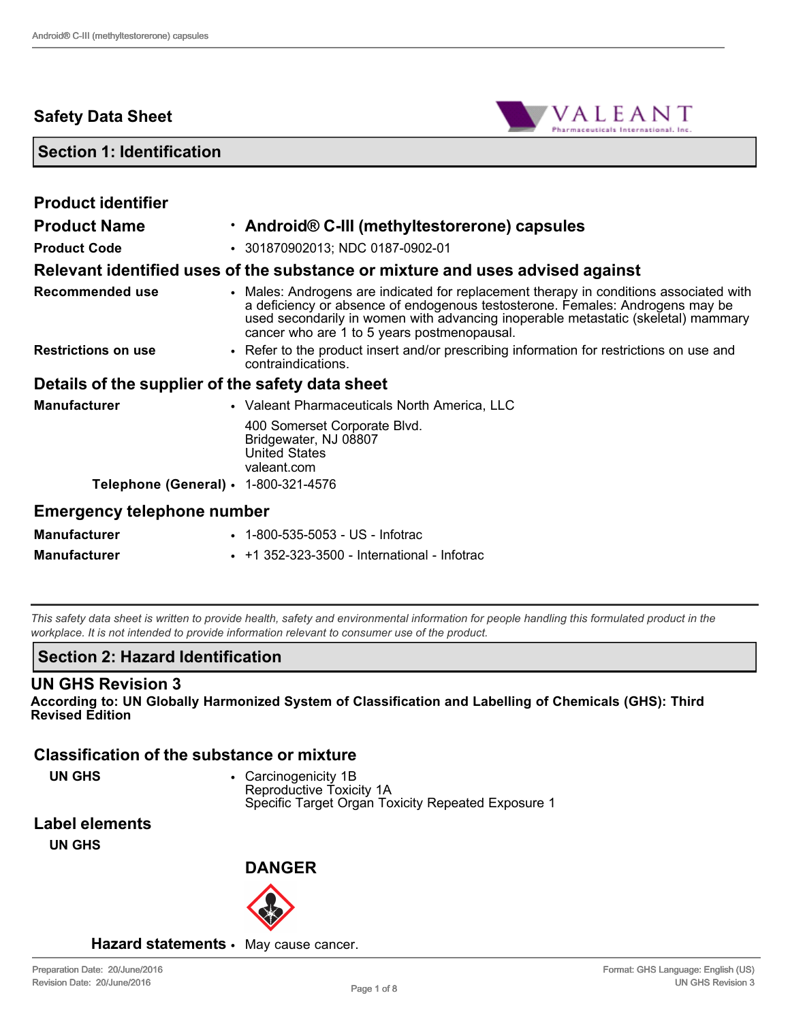# **Safety Data Sheet**



## **Section 1: Identification**

| <b>Product identifier</b>                        |                                                                                                                                                                                                                                                                                                             |
|--------------------------------------------------|-------------------------------------------------------------------------------------------------------------------------------------------------------------------------------------------------------------------------------------------------------------------------------------------------------------|
| <b>Product Name</b>                              | · Android® C-III (methyltestorerone) capsules                                                                                                                                                                                                                                                               |
| <b>Product Code</b>                              | • 301870902013; NDC 0187-0902-01                                                                                                                                                                                                                                                                            |
|                                                  | Relevant identified uses of the substance or mixture and uses advised against                                                                                                                                                                                                                               |
| <b>Recommended use</b>                           | • Males: Androgens are indicated for replacement therapy in conditions associated with<br>a deficiency or absence of endogenous testosterone. Females: Androgens may be<br>used secondarily in women with advancing inoperable metastatic (skeletal) mammary<br>cancer who are 1 to 5 years postmenopausal. |
| <b>Restrictions on use</b>                       | • Refer to the product insert and/or prescribing information for restrictions on use and<br>contraindications.                                                                                                                                                                                              |
| Details of the supplier of the safety data sheet |                                                                                                                                                                                                                                                                                                             |
| <b>Manufacturer</b>                              | • Valeant Pharmaceuticals North America, LLC                                                                                                                                                                                                                                                                |
|                                                  | 400 Somerset Corporate Blvd.<br>Bridgewater, NJ 08807<br><b>United States</b><br>valeant.com                                                                                                                                                                                                                |
| Telephone (General) · 1-800-321-4576             |                                                                                                                                                                                                                                                                                                             |
| <b>Emergency telephone number</b>                |                                                                                                                                                                                                                                                                                                             |
| <b>Manufacturer</b>                              | • 1-800-535-5053 - US - Infotrac                                                                                                                                                                                                                                                                            |

*This safety data sheet is written to provide health, safety and environmental information for people handling this formulated product in the workplace. It is not intended to provide information relevant to consumer use of the product.*

## **Section 2: Hazard Identification**

#### **UN GHS Revision 3**

**According to: UN Globally Harmonized System of Classification and Labelling of Chemicals (GHS): Third Revised Edition**

## **Classification of the substance or mixture**

**UN GHS** • Carcinogenicity 1B Reproductive Toxicity 1A Specific Target Organ Toxicity Repeated Exposure 1

# **Label elements**

**UN GHS**



#### **Hazard statements** • May cause cancer.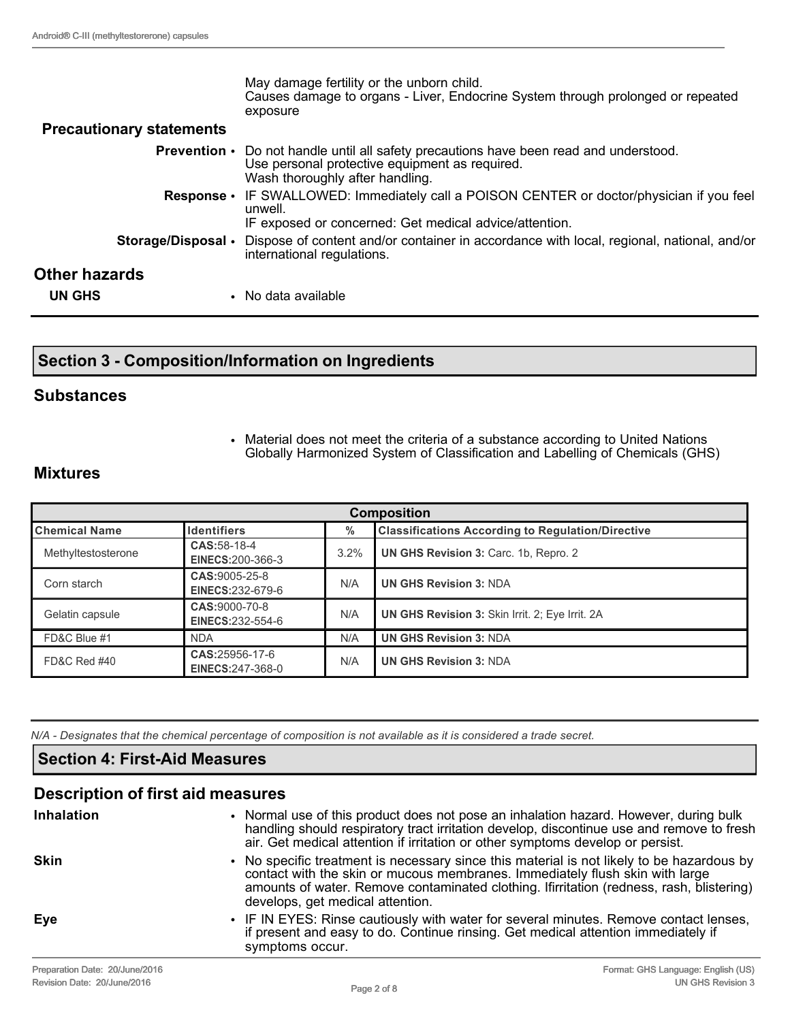|                                 | May damage fertility or the unborn child.<br>Causes damage to organs - Liver, Endocrine System through prolonged or repeated<br>exposure                                           |
|---------------------------------|------------------------------------------------------------------------------------------------------------------------------------------------------------------------------------|
| <b>Precautionary statements</b> |                                                                                                                                                                                    |
|                                 | <b>Prevention</b> • Do not handle until all safety precautions have been read and understood.<br>Use personal protective equipment as required.<br>Wash thoroughly after handling. |
|                                 | <b>Response</b> • IF SWALLOWED: Immediately call a POISON CENTER or doctor/physician if you feel<br>unwell.<br>IF exposed or concerned: Get medical advice/attention.              |
| Storage/Disposal •              | Dispose of content and/or container in accordance with local, regional, national, and/or<br>international regulations.                                                             |
| Other hazards                   |                                                                                                                                                                                    |
| <b>UN GHS</b>                   | • No data available                                                                                                                                                                |

# **Section 3 - Composition/Information on Ingredients**

#### **Substances**

• Material does not meet the criteria of a substance according to United Nations Globally Harmonized System of Classification and Labelling of Chemicals (GHS)

## **Mixtures**

| <b>Composition</b>   |                                           |      |                                                          |
|----------------------|-------------------------------------------|------|----------------------------------------------------------|
| <b>Chemical Name</b> | Identifiers                               | $\%$ | <b>Classifications According to Regulation/Directive</b> |
| Methyltestosterone   | CAS: 58-18-4<br><b>EINECS:200-366-3</b>   | 3.2% | UN GHS Revision 3: Carc. 1b, Repro. 2                    |
| Corn starch          | CAS:9005-25-8<br>EINECS:232-679-6         | N/A  | <b>UN GHS Revision 3: NDA</b>                            |
| Gelatin capsule      | CAS:9000-70-8<br><b>EINECS:232-554-6</b>  | N/A  | <b>UN GHS Revision 3: Skin Irrit. 2: Eye Irrit. 2A</b>   |
| FD&C Blue #1         | <b>NDA</b>                                | N/A  | <b>UN GHS Revision 3: NDA</b>                            |
| FD&C Red #40         | CAS:25956-17-6<br><b>EINECS:247-368-0</b> | N/A  | <b>UN GHS Revision 3: NDA</b>                            |

*N/A - Designates that the chemical percentage of composition is not available as it is considered a trade secret.*

# **Section 4: First-Aid Measures**

| <b>Description of first aid measures</b> |                                                                                                                                                                                                                                                                                                           |  |  |
|------------------------------------------|-----------------------------------------------------------------------------------------------------------------------------------------------------------------------------------------------------------------------------------------------------------------------------------------------------------|--|--|
| <b>Inhalation</b>                        | • Normal use of this product does not pose an inhalation hazard. However, during bulk<br>handling should respiratory tract irritation develop, discontinue use and remove to fresh<br>air. Get medical attention if irritation or other symptoms develop or persist.                                      |  |  |
| <b>Skin</b>                              | • No specific treatment is necessary since this material is not likely to be hazardous by<br>contact with the skin or mucous membranes. Immediately flush skin with large<br>amounts of water. Remove contaminated clothing. Ifirritation (redness, rash, blistering)<br>develops, get medical attention. |  |  |
| Eye                                      | • IF IN EYES: Rinse cautiously with water for several minutes. Remove contact lenses,<br>if present and easy to do. Continue rinsing. Get medical attention immediately if<br>symptoms occur.                                                                                                             |  |  |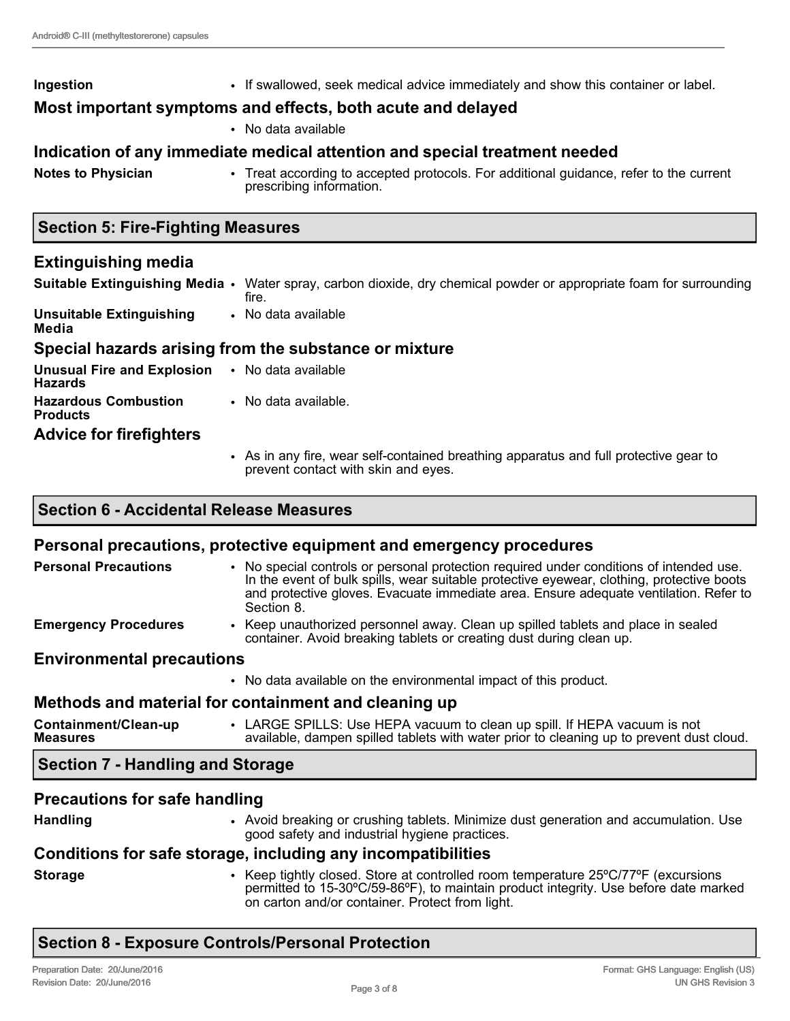| <b>Notes to Physician</b> | • No data available<br>Indication of any immediate medical attention and special treatment needed<br>• Treat according to accepted protocols. For additional guidance, refer to the current<br>prescribing information. |
|---------------------------|-------------------------------------------------------------------------------------------------------------------------------------------------------------------------------------------------------------------------|
|                           |                                                                                                                                                                                                                         |
|                           |                                                                                                                                                                                                                         |
|                           |                                                                                                                                                                                                                         |
|                           | Most important symptoms and effects, both acute and delayed                                                                                                                                                             |
| Ingestion                 | • If swallowed, seek medical advice immediately and show this container or label.                                                                                                                                       |

# **Extinguishing media**

**Suitable Extinguishing Media** • Water spray, carbon dioxide, dry chemical powder or appropriate foam for surrounding fire. **Unsuitable Extinguishing Media** • No data available **Special hazards arising from the substance or mixture Unusual Fire and Explosion Hazards** • No data available **Hazardous Combustion Products** • No data available. **Advice for firefighters**

> • As in any fire, wear self-contained breathing apparatus and full protective gear to prevent contact with skin and eyes.

# **Section 6 - Accidental Release Measures**

# **Personal precautions, protective equipment and emergency procedures**

| <b>Personal Precautions</b>             | . No special controls or personal protection required under conditions of intended use.<br>In the event of bulk spills, wear suitable protective eyewear, clothing, protective boots<br>and protective gloves. Evacuate immediate area. Ensure adequate ventilation. Refer to<br>Section 8. |
|-----------------------------------------|---------------------------------------------------------------------------------------------------------------------------------------------------------------------------------------------------------------------------------------------------------------------------------------------|
| <b>Emergency Procedures</b>             | • Keep unauthorized personnel away. Clean up spilled tablets and place in sealed<br>container. Avoid breaking tablets or creating dust during clean up.                                                                                                                                     |
| <b>Environmental precautions</b>        |                                                                                                                                                                                                                                                                                             |
|                                         | • No data available on the environmental impact of this product.                                                                                                                                                                                                                            |
|                                         | Methods and material for containment and cleaning up                                                                                                                                                                                                                                        |
| Containment/Clean-up<br><b>Measures</b> | • LARGE SPILLS: Use HEPA vacuum to clean up spill. If HEPA vacuum is not<br>available, dampen spilled tablets with water prior to cleaning up to prevent dust cloud.                                                                                                                        |
| <b>Section 7 - Handling and Storage</b> |                                                                                                                                                                                                                                                                                             |
| <b>Precautions for safe handling</b>    |                                                                                                                                                                                                                                                                                             |
| <b>Handling</b>                         | • Avoid breaking or crushing tablets. Minimize dust generation and accumulation. Use                                                                                                                                                                                                        |

# good safety and industrial hygiene practices.

# **Conditions for safe storage, including any incompatibilities**

**Storage** • Keep tightly closed. Store at controlled room temperature 25ºC/77ºF (excursions permitted to 15-30°C/59-86°F), to maintain product integrity. Use before date marked on carton and/or container. Protect from light.

# **Section 8 - Exposure Controls/Personal Protection**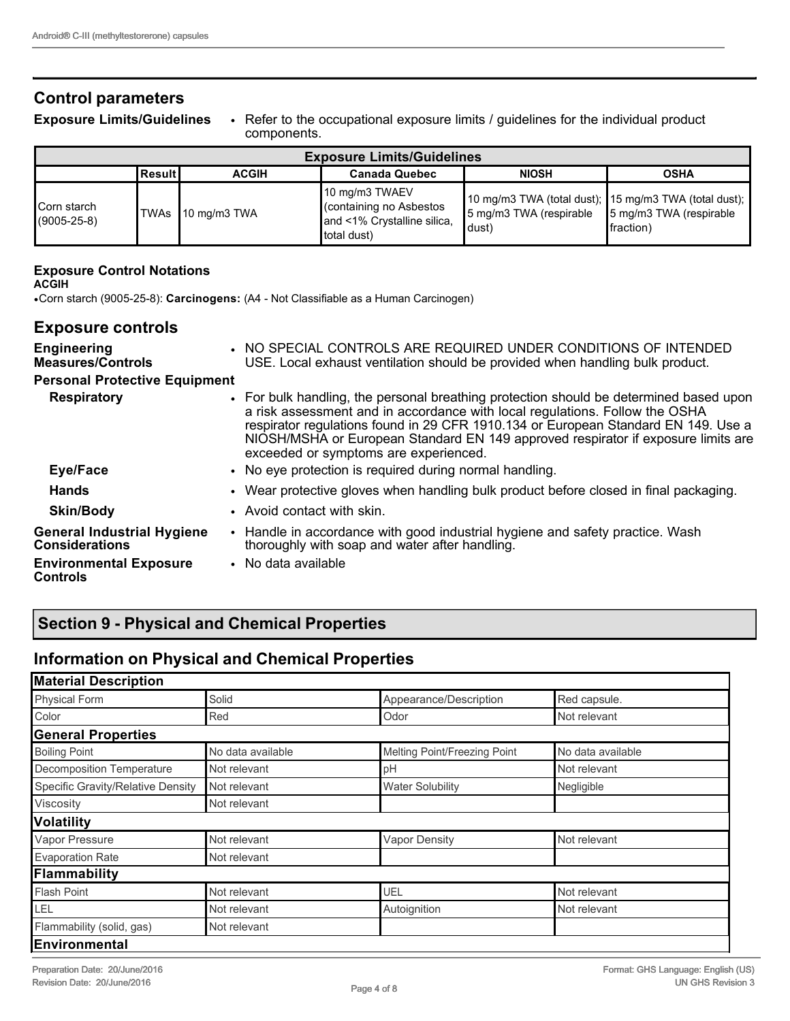# **Control parameters**

**Exposure Limits/Guidelines** • Refer to the occupational exposure limits / guidelines for the individual product components.

| <b>Exposure Limits/Guidelines</b> |            |                   |                                                                                        |                                                           |                                                                      |
|-----------------------------------|------------|-------------------|----------------------------------------------------------------------------------------|-----------------------------------------------------------|----------------------------------------------------------------------|
|                                   | l Result I | <b>ACGIH</b>      | <b>Canada Quebec</b>                                                                   | <b>NIOSH</b>                                              | <b>OSHA</b>                                                          |
| Corn starch<br>$(9005 - 25 - 8)$  |            | TWAs 10 mg/m3 TWA | 10 mg/m3 TWAEV<br>containing no Asbestos<br>and <1% Crystalline silica,<br>total dust) | 5 mg/m3 TWA (respirable 5 mg/m3 TWA (respirable<br>Idust) | 10 mg/m3 TWA (total dust); 15 mg/m3 TWA (total dust);  <br>fraction) |

#### **Exposure Control Notations**

**ACGIH**

•Corn starch (9005-25-8): **Carcinogens:** (A4 - Not Classifiable as a Human Carcinogen)

## **Exposure controls**

| <b>Engineering</b><br><b>Measures/Controls</b>             | • NO SPECIAL CONTROLS ARE REQUIRED UNDER CONDITIONS OF INTENDED<br>USE. Local exhaust ventilation should be provided when handling bulk product.                                                                                                                                                                                                                                          |
|------------------------------------------------------------|-------------------------------------------------------------------------------------------------------------------------------------------------------------------------------------------------------------------------------------------------------------------------------------------------------------------------------------------------------------------------------------------|
| <b>Personal Protective Equipment</b>                       |                                                                                                                                                                                                                                                                                                                                                                                           |
| <b>Respiratory</b>                                         | • For bulk handling, the personal breathing protection should be determined based upon<br>a risk assessment and in accordance with local regulations. Follow the OSHA<br>respirator regulations found in 29 CFR 1910.134 or European Standard EN 149. Use a<br>NIOSH/MSHA or European Standard EN 149 approved respirator if exposure limits are<br>exceeded or symptoms are experienced. |
| Eye/Face                                                   | • No eye protection is required during normal handling.                                                                                                                                                                                                                                                                                                                                   |
| <b>Hands</b>                                               | • Wear protective gloves when handling bulk product before closed in final packaging.                                                                                                                                                                                                                                                                                                     |
| <b>Skin/Body</b>                                           | • Avoid contact with skin.                                                                                                                                                                                                                                                                                                                                                                |
| <b>General Industrial Hygiene</b><br><b>Considerations</b> | Handle in accordance with good industrial hygiene and safety practice. Wash<br>$\bullet$<br>thoroughly with soap and water after handling.                                                                                                                                                                                                                                                |
| <b>Environmental Exposure</b><br>Controls                  | • No data available                                                                                                                                                                                                                                                                                                                                                                       |

# **Section 9 - Physical and Chemical Properties**

# **Information on Physical and Chemical Properties**

| <b>Material Description</b>       |                   |                              |                   |  |
|-----------------------------------|-------------------|------------------------------|-------------------|--|
| <b>Physical Form</b>              | Solid             | Appearance/Description       | Red capsule.      |  |
| Color                             | Red               | Odor                         | Not relevant      |  |
| <b>General Properties</b>         |                   |                              |                   |  |
| <b>Boiling Point</b>              | No data available | Melting Point/Freezing Point | No data available |  |
| Decomposition Temperature         | Not relevant      | pH                           | Not relevant      |  |
| Specific Gravity/Relative Density | Not relevant      | <b>Water Solubility</b>      | Negligible        |  |
| Viscosity                         | Not relevant      |                              |                   |  |
| Volatility                        |                   |                              |                   |  |
| Vapor Pressure                    | Not relevant      | <b>Vapor Density</b>         | Not relevant      |  |
| <b>Evaporation Rate</b>           | Not relevant      |                              |                   |  |
| Flammability                      |                   |                              |                   |  |
| <b>Flash Point</b>                | Not relevant      | UEL                          | Not relevant      |  |
| LEL                               | Not relevant      | Autoignition                 | Not relevant      |  |
| Flammability (solid, gas)         | Not relevant      |                              |                   |  |
| Environmental                     |                   |                              |                   |  |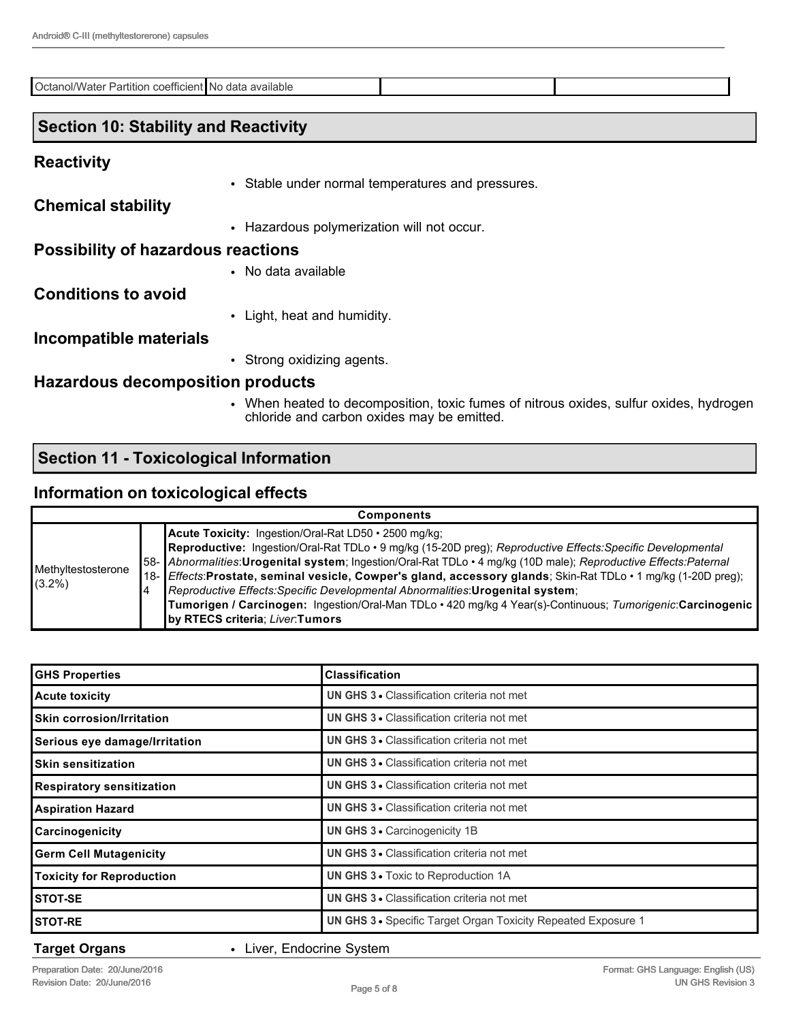Octanol/Water Partition coefficient No data available

### **Section 10: Stability and Reactivity**

#### **Reactivity**

• Stable under normal temperatures and pressures.

**Chemical stability**

• Hazardous polymerization will not occur.

#### **Possibility of hazardous reactions**

# • No data available

# **Conditions to avoid**

• Light, heat and humidity.

#### **Incompatible materials**

• Strong oxidizing agents.

#### **Hazardous decomposition products**

• When heated to decomposition, toxic fumes of nitrous oxides, sulfur oxides, hydrogen chloride and carbon oxides may be emitted.

## **Section 11 - Toxicological Information**

### **Information on toxicological effects**

| <b>Components</b>               |  |                                                                                                                                                                                                                                                                                                                                                                                                                                                                                                                                                                                                                                                         |  |
|---------------------------------|--|---------------------------------------------------------------------------------------------------------------------------------------------------------------------------------------------------------------------------------------------------------------------------------------------------------------------------------------------------------------------------------------------------------------------------------------------------------------------------------------------------------------------------------------------------------------------------------------------------------------------------------------------------------|--|
| Methyltestosterone<br>$(3.2\%)$ |  | Acute Toxicity: Ingestion/Oral-Rat LD50 · 2500 mg/kg;<br>Reproductive: Ingestion/Oral-Rat TDLo · 9 mg/kg (15-20D preg); Reproductive Effects: Specific Developmental<br>58- Abnormalities: Urogenital system; Ingestion/Oral-Rat TDLo · 4 mg/kg (10D male); Reproductive Effects: Paternal<br>18- <i>Effects</i> :Prostate, seminal vesicle, Cowper's gland, accessory glands; Skin-Rat TDLo • 1 mg/kg (1-20D preg);<br>Reproductive Effects: Specific Developmental Abnormalities: Urogenital system;<br>Tumorigen / Carcinogen: Ingestion/Oral-Man TDLo · 420 mg/kg 4 Year(s)-Continuous; Tumorigenic:Carcinogenic<br>by RTECS criteria; Liver:Tumors |  |

| <b>GHS Properties</b>            | <b>Classification</b>                                         |
|----------------------------------|---------------------------------------------------------------|
| <b>Acute toxicity</b>            | <b>UN GHS 3 • Classification criteria not met</b>             |
| <b>Skin corrosion/Irritation</b> | <b>UN GHS 3 • Classification criteria not met</b>             |
| Serious eye damage/Irritation    | UN GHS 3 · Classification criteria not met                    |
| <b>Skin sensitization</b>        | <b>UN GHS 3 • Classification criteria not met</b>             |
| <b>Respiratory sensitization</b> | <b>UN GHS 3 • Classification criteria not met</b>             |
| <b>Aspiration Hazard</b>         | <b>UN GHS 3 • Classification criteria not met</b>             |
| Carcinogenicity                  | UN GHS 3 . Carcinogenicity 1B                                 |
| <b>Germ Cell Mutagenicity</b>    | <b>UN GHS 3 • Classification criteria not met</b>             |
| <b>Toxicity for Reproduction</b> | <b>UN GHS 3 • Toxic to Reproduction 1A</b>                    |
| <b>STOT-SE</b>                   | <b>UN GHS 3 • Classification criteria not met</b>             |
| <b>STOT-RE</b>                   | UN GHS 3 · Specific Target Organ Toxicity Repeated Exposure 1 |

**Target Organs** • Liver, Endocrine System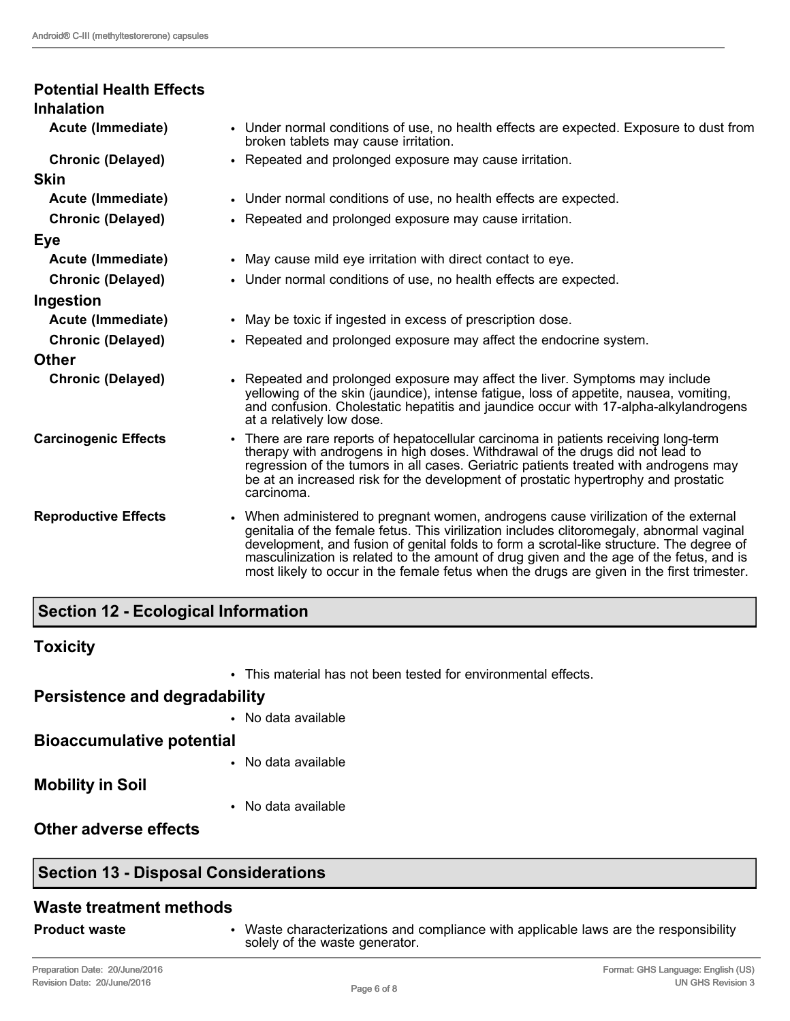| <b>Potential Health Effects</b><br><b>Inhalation</b> |                                                                                                                                                                                                                                                                                                                                                                                                                                                                      |
|------------------------------------------------------|----------------------------------------------------------------------------------------------------------------------------------------------------------------------------------------------------------------------------------------------------------------------------------------------------------------------------------------------------------------------------------------------------------------------------------------------------------------------|
| Acute (Immediate)                                    | • Under normal conditions of use, no health effects are expected. Exposure to dust from<br>broken tablets may cause irritation.                                                                                                                                                                                                                                                                                                                                      |
| <b>Chronic (Delayed)</b>                             | • Repeated and prolonged exposure may cause irritation.                                                                                                                                                                                                                                                                                                                                                                                                              |
| <b>Skin</b>                                          |                                                                                                                                                                                                                                                                                                                                                                                                                                                                      |
| Acute (Immediate)                                    | • Under normal conditions of use, no health effects are expected.                                                                                                                                                                                                                                                                                                                                                                                                    |
| <b>Chronic (Delayed)</b>                             | • Repeated and prolonged exposure may cause irritation.                                                                                                                                                                                                                                                                                                                                                                                                              |
| Eye                                                  |                                                                                                                                                                                                                                                                                                                                                                                                                                                                      |
| Acute (Immediate)                                    | • May cause mild eye irritation with direct contact to eye.                                                                                                                                                                                                                                                                                                                                                                                                          |
| <b>Chronic (Delayed)</b>                             | • Under normal conditions of use, no health effects are expected.                                                                                                                                                                                                                                                                                                                                                                                                    |
| Ingestion                                            |                                                                                                                                                                                                                                                                                                                                                                                                                                                                      |
| Acute (Immediate)                                    | • May be toxic if ingested in excess of prescription dose.                                                                                                                                                                                                                                                                                                                                                                                                           |
| <b>Chronic (Delayed)</b>                             | • Repeated and prolonged exposure may affect the endocrine system.                                                                                                                                                                                                                                                                                                                                                                                                   |
| <b>Other</b>                                         |                                                                                                                                                                                                                                                                                                                                                                                                                                                                      |
| <b>Chronic (Delayed)</b>                             | • Repeated and prolonged exposure may affect the liver. Symptoms may include<br>yellowing of the skin (jaundice), intense fatigue, loss of appetite, nausea, vomiting,<br>and confusion. Cholestatic hepatitis and jaundice occur with 17-alpha-alkylandrogens<br>at a relatively low dose.                                                                                                                                                                          |
| <b>Carcinogenic Effects</b>                          | • There are rare reports of hepatocellular carcinoma in patients receiving long-term<br>therapy with androgens in high doses. Withdrawal of the drugs did not lead to<br>regression of the tumors in all cases. Geriatric patients treated with androgens may<br>be at an increased risk for the development of prostatic hypertrophy and prostatic<br>carcinoma.                                                                                                    |
| <b>Reproductive Effects</b>                          | • When administered to pregnant women, androgens cause virilization of the external<br>genitalia of the female fetus. This virilization includes clitoromegaly, abnormal vaginal<br>development, and fusion of genital folds to form a scrotal-like structure. The degree of<br>masculinization is related to the amount of drug given and the age of the fetus, and is<br>most likely to occur in the female fetus when the drugs are given in the first trimester. |

# **Section 12 - Ecological Information**

## **Toxicity**

• This material has not been tested for environmental effects.

# **Persistence and degradability**

• No data available

**Bioaccumulative potential**

• No data available

**Mobility in Soil**

• No data available

**Other adverse effects**

# **Section 13 - Disposal Considerations**

## **Waste treatment methods**

**Product waste** • Waste characterizations and compliance with applicable laws are the responsibility solely of the waste generator.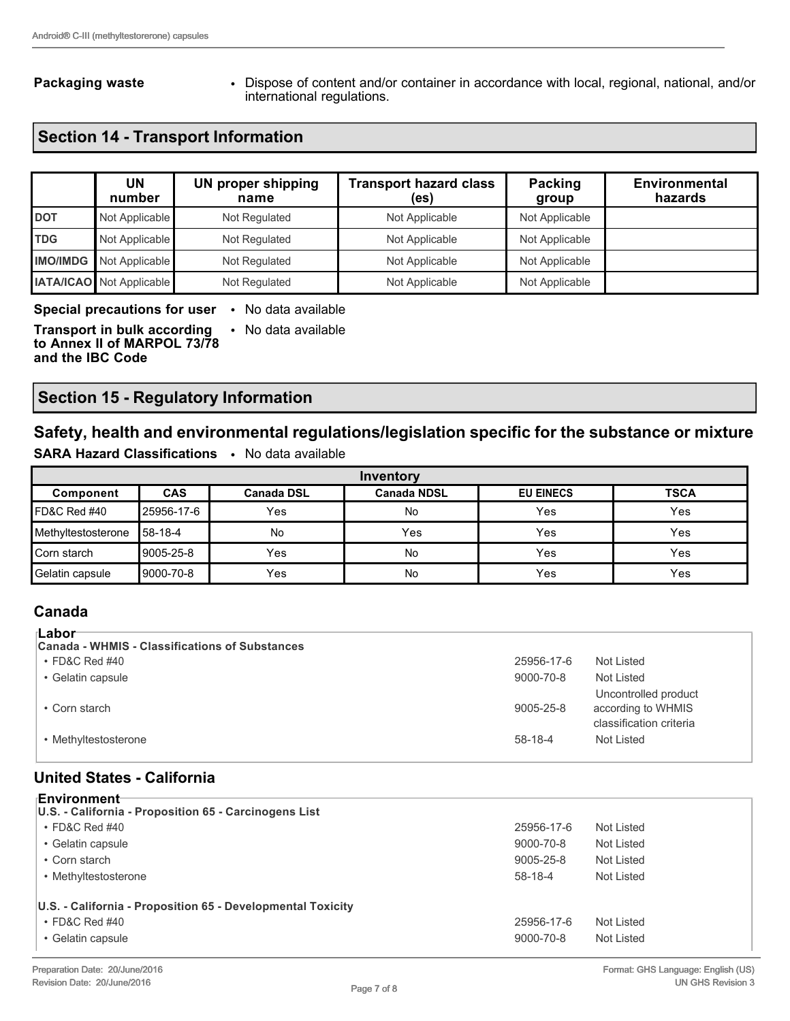**Packaging waste • Dispose of content and/or container in accordance with local, regional, national, and/or** international regulations.

# **Section 14 - Transport Information**

|                 | UN<br>number                    | <b>UN proper shipping</b><br>name | <b>Transport hazard class</b><br>(es) | Packing<br>group | <b>Environmental</b><br>hazards |
|-----------------|---------------------------------|-----------------------------------|---------------------------------------|------------------|---------------------------------|
| <b>DOT</b>      | Not Applicable                  | Not Regulated                     | Not Applicable                        | Not Applicable   |                                 |
| <b>TDG</b>      | Not Applicable                  | Not Regulated                     | Not Applicable                        | Not Applicable   |                                 |
| <b>IMO/IMDG</b> | Not Applicable                  | Not Regulated                     | Not Applicable                        | Not Applicable   |                                 |
|                 | <b>IATA/ICAO</b> Not Applicable | Not Regulated                     | Not Applicable                        | Not Applicable   |                                 |

#### **Special precautions for user** • No data available

**Transport in bulk according to Annex II of MARPOL 73/78 and the IBC Code** • No data available

**Section 15 - Regulatory Information**

**SARA Hazard Classifications** • No data available

## **Safety, health and environmental regulations/legislation specific for the substance or mixture**

| Inventory          |             |                   |                    |                  |             |
|--------------------|-------------|-------------------|--------------------|------------------|-------------|
| Component          | <b>CAS</b>  | <b>Canada DSL</b> | <b>Canada NDSL</b> | <b>EU EINECS</b> | <b>TSCA</b> |
| IFD&C Red #40      | '25956-17-6 | Yes               | No                 | Yes              | Yes         |
| Methyltestosterone | 158-18-4    | No                | Yes                | Yes              | Yes         |
| Corn starch        | 9005-25-8   | Yes               | No                 | Yes              | Yes         |
| Gelatin capsule    | 9000-70-8   | Yes               | No                 | Yes              | Yes         |

### **Canada**

| ⊦Labor                                         |            |                                                                       |
|------------------------------------------------|------------|-----------------------------------------------------------------------|
|                                                |            |                                                                       |
| Canada - WHMIS - Classifications of Substances |            |                                                                       |
| $\cdot$ FD&C Red #40                           | 25956-17-6 | Not Listed                                                            |
| • Gelatin capsule                              | 9000-70-8  | Not Listed                                                            |
| • Corn starch                                  | 9005-25-8  | Uncontrolled product<br>according to WHMIS<br>classification criteria |
| • Methyltestosterone                           | $58-18-4$  | Not Listed                                                            |

#### **United States - California**

| ⊧Environment                                                |            |            |  |  |  |
|-------------------------------------------------------------|------------|------------|--|--|--|
| U.S. - California - Proposition 65 - Carcinogens List       |            |            |  |  |  |
| $\cdot$ FD&C Red #40                                        | 25956-17-6 | Not Listed |  |  |  |
| • Gelatin capsule                                           | 9000-70-8  | Not Listed |  |  |  |
| • Corn starch                                               | 9005-25-8  | Not Listed |  |  |  |
| • Methyltestosterone                                        | 58-18-4    | Not Listed |  |  |  |
| U.S. - California - Proposition 65 - Developmental Toxicity |            |            |  |  |  |
| $\cdot$ FD&C Red #40                                        | 25956-17-6 | Not Listed |  |  |  |
| • Gelatin capsule                                           | 9000-70-8  | Not Listed |  |  |  |